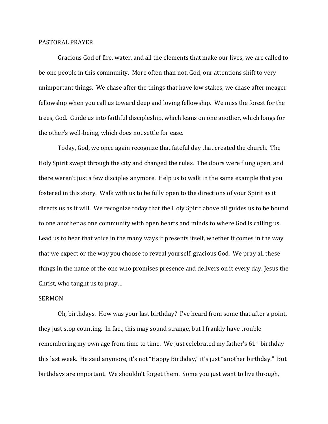## PASTORAL PRAYER

Gracious God of fire, water, and all the elements that make our lives, we are called to be one people in this community. More often than not, God, our attentions shift to very unimportant things. We chase after the things that have low stakes, we chase after meager fellowship when you call us toward deep and loving fellowship. We miss the forest for the trees, God. Guide us into faithful discipleship, which leans on one another, which longs for the other's well-being, which does not settle for ease.

Today, God, we once again recognize that fateful day that created the church. The Holy Spirit swept through the city and changed the rules. The doors were flung open, and there weren't just a few disciples anymore. Help us to walk in the same example that you fostered in this story. Walk with us to be fully open to the directions of your Spirit as it directs us as it will. We recognize today that the Holy Spirit above all guides us to be bound to one another as one community with open hearts and minds to where God is calling us. Lead us to hear that voice in the many ways it presents itself, whether it comes in the way that we expect or the way you choose to reveal yourself, gracious God. We pray all these things in the name of the one who promises presence and delivers on it every day, Jesus the Christ, who taught us to pray…

## SERMON

Oh, birthdays. How was your last birthday? I've heard from some that after a point, they just stop counting. In fact, this may sound strange, but I frankly have trouble remembering my own age from time to time. We just celebrated my father's 61st birthday this last week. He said anymore, it's not "Happy Birthday," it's just "another birthday." But birthdays are important. We shouldn't forget them. Some you just want to live through,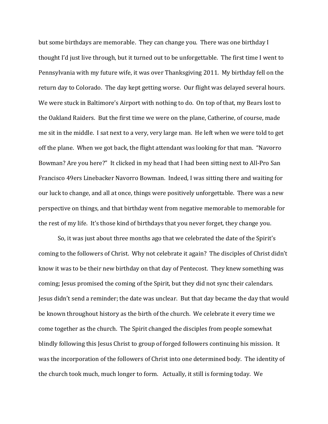but some birthdays are memorable. They can change you. There was one birthday I thought I'd just live through, but it turned out to be unforgettable. The first time I went to Pennsylvania with my future wife, it was over Thanksgiving 2011. My birthday fell on the return day to Colorado. The day kept getting worse. Our flight was delayed several hours. We were stuck in Baltimore's Airport with nothing to do. On top of that, my Bears lost to the Oakland Raiders. But the first time we were on the plane, Catherine, of course, made me sit in the middle. I sat next to a very, very large man. He left when we were told to get off the plane. When we got back, the flight attendant was looking for that man. "Navorro Bowman? Are you here?" It clicked in my head that I had been sitting next to All-Pro San Francisco 49ers Linebacker Navorro Bowman. Indeed, I was sitting there and waiting for our luck to change, and all at once, things were positively unforgettable. There was a new perspective on things, and that birthday went from negative memorable to memorable for the rest of my life. It's those kind of birthdays that you never forget, they change you.

So, it was just about three months ago that we celebrated the date of the Spirit's coming to the followers of Christ. Why not celebrate it again? The disciples of Christ didn't know it was to be their new birthday on that day of Pentecost. They knew something was coming; Jesus promised the coming of the Spirit, but they did not sync their calendars. Jesus didn't send a reminder; the date was unclear. But that day became the day that would be known throughout history as the birth of the church. We celebrate it every time we come together as the church. The Spirit changed the disciples from people somewhat blindly following this Jesus Christ to group of forged followers continuing his mission. It was the incorporation of the followers of Christ into one determined body. The identity of the church took much, much longer to form. Actually, it still is forming today. We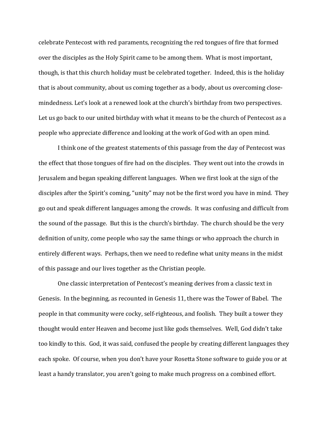celebrate Pentecost with red paraments, recognizing the red tongues of fire that formed over the disciples as the Holy Spirit came to be among them. What is most important, though, is that this church holiday must be celebrated together. Indeed, this is the holiday that is about community, about us coming together as a body, about us overcoming closemindedness. Let's look at a renewed look at the church's birthday from two perspectives. Let us go back to our united birthday with what it means to be the church of Pentecost as a people who appreciate difference and looking at the work of God with an open mind.

I think one of the greatest statements of this passage from the day of Pentecost was the effect that those tongues of fire had on the disciples. They went out into the crowds in Jerusalem and began speaking different languages. When we first look at the sign of the disciples after the Spirit's coming, "unity" may not be the first word you have in mind. They go out and speak different languages among the crowds. It was confusing and difficult from the sound of the passage. But this is the church's birthday. The church should be the very definition of unity, come people who say the same things or who approach the church in entirely different ways. Perhaps, then we need to redefine what unity means in the midst of this passage and our lives together as the Christian people.

One classic interpretation of Pentecost's meaning derives from a classic text in Genesis. In the beginning, as recounted in Genesis 11, there was the Tower of Babel. The people in that community were cocky, self-righteous, and foolish. They built a tower they thought would enter Heaven and become just like gods themselves. Well, God didn't take too kindly to this. God, it was said, confused the people by creating different languages they each spoke. Of course, when you don't have your Rosetta Stone software to guide you or at least a handy translator, you aren't going to make much progress on a combined effort.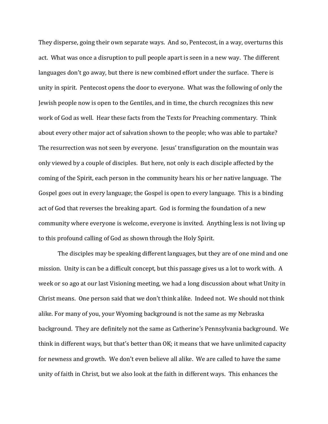They disperse, going their own separate ways. And so, Pentecost, in a way, overturns this act. What was once a disruption to pull people apart is seen in a new way. The different languages don't go away, but there is new combined effort under the surface. There is unity in spirit. Pentecost opens the door to everyone. What was the following of only the Jewish people now is open to the Gentiles, and in time, the church recognizes this new work of God as well. Hear these facts from the Texts for Preaching commentary. Think about every other major act of salvation shown to the people; who was able to partake? The resurrection was not seen by everyone. Jesus' transfiguration on the mountain was only viewed by a couple of disciples. But here, not only is each disciple affected by the coming of the Spirit, each person in the community hears his or her native language. The Gospel goes out in every language; the Gospel is open to every language. This is a binding act of God that reverses the breaking apart. God is forming the foundation of a new community where everyone is welcome, everyone is invited. Anything less is not living up to this profound calling of God as shown through the Holy Spirit.

The disciples may be speaking different languages, but they are of one mind and one mission. Unity is can be a difficult concept, but this passage gives us a lot to work with. A week or so ago at our last Visioning meeting, we had a long discussion about what Unity in Christ means. One person said that we don't think alike. Indeed not. We should not think alike. For many of you, your Wyoming background is not the same as my Nebraska background. They are definitely not the same as Catherine's Pennsylvania background. We think in different ways, but that's better than OK; it means that we have unlimited capacity for newness and growth. We don't even believe all alike. We are called to have the same unity of faith in Christ, but we also look at the faith in different ways. This enhances the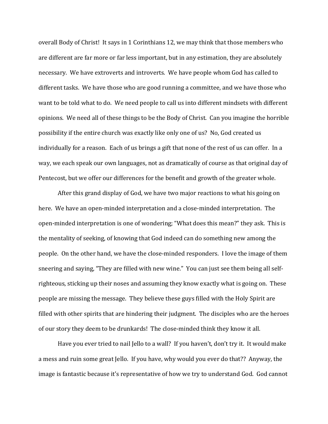overall Body of Christ! It says in 1 Corinthians 12, we may think that those members who are different are far more or far less important, but in any estimation, they are absolutely necessary. We have extroverts and introverts. We have people whom God has called to different tasks. We have those who are good running a committee, and we have those who want to be told what to do. We need people to call us into different mindsets with different opinions. We need all of these things to be the Body of Christ. Can you imagine the horrible possibility if the entire church was exactly like only one of us? No, God created us individually for a reason. Each of us brings a gift that none of the rest of us can offer. In a way, we each speak our own languages, not as dramatically of course as that original day of Pentecost, but we offer our differences for the benefit and growth of the greater whole.

After this grand display of God, we have two major reactions to what his going on here. We have an open-minded interpretation and a close-minded interpretation. The open-minded interpretation is one of wondering; "What does this mean?" they ask. This is the mentality of seeking, of knowing that God indeed can do something new among the people. On the other hand, we have the close-minded responders. I love the image of them sneering and saying, "They are filled with new wine." You can just see them being all selfrighteous, sticking up their noses and assuming they know exactly what is going on. These people are missing the message. They believe these guys filled with the Holy Spirit are filled with other spirits that are hindering their judgment. The disciples who are the heroes of our story they deem to be drunkards! The close-minded think they know it all.

Have you ever tried to nail Jello to a wall? If you haven't, don't try it. It would make a mess and ruin some great Jello. If you have, why would you ever do that?? Anyway, the image is fantastic because it's representative of how we try to understand God. God cannot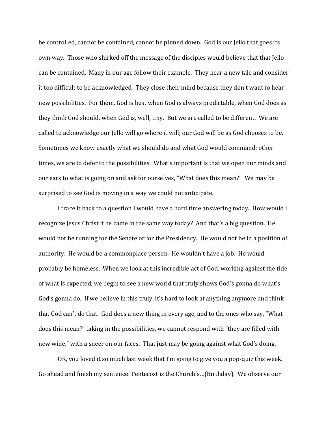be controlled, cannot be contained, cannot be pinned down. God is our Jello that goes its own way. Those who shirked off the message of the disciples would believe that that Jello can be contained. Many in our age follow their example. They hear a new tale and consider it too difficult to be acknowledged. They close their mind because they don't want to hear new possibilities. For them, God is best when God is always predictable, when God does as they think God should, when God is, well, tiny. But we are called to be different. We are called to acknowledge our Jello will go where it will; our God will be as God chooses to be. Sometimes we know exactly what we should do and what God would command; other times, we are to defer to the possibilities. What's important is that we open our minds and our ears to what is going on and ask for ourselves, "What does this mean?" We may be surprised to see God is moving in a way we could not anticipate.

I trace it back to a question I would have a hard time answering today. How would I recognize Jesus Christ if he came in the same way today? And that's a big question. He would not be running for the Senate or for the Presidency. He would not be in a position of authority. He would be a commonplace person. He wouldn't have a job. He would probably be homeless. When we look at this incredible act of God, working against the tide of what is expected, we begin to see a new world that truly shows God's gonna do what's God's gonna do. If we believe in this truly, it's hard to look at anything anymore and think that God can't do that. God does a new thing in every age, and to the ones who say, "What does this mean?" taking in the possibilities, we cannot respond with "they are filled with new wine," with a sneer on our faces. That just may be going against what God's doing.

OK, you loved it so much last week that I'm going to give you a pop-quiz this week. Go ahead and finish my sentence: Pentecost is the Church's…(Birthday). We observe our